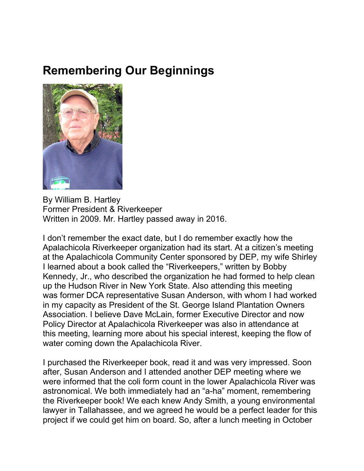## **Remembering Our Beginnings**



By William B. Hartley Former President & Riverkeeper Written in 2009. Mr. Hartley passed away in 2016.

I don't remember the exact date, but I do remember exactly how the Apalachicola Riverkeeper organization had its start. At a citizen's meeting at the Apalachicola Community Center sponsored by DEP, my wife Shirley I learned about a book called the "Riverkeepers," written by Bobby Kennedy, Jr., who described the organization he had formed to help clean up the Hudson River in New York State. Also attending this meeting was former DCA representative Susan Anderson, with whom I had worked in my capacity as President of the St. George Island Plantation Owners Association. I believe Dave McLain, former Executive Director and now Policy Director at Apalachicola Riverkeeper was also in attendance at this meeting, learning more about his special interest, keeping the flow of water coming down the Apalachicola River.

I purchased the Riverkeeper book, read it and was very impressed. Soon after, Susan Anderson and I attended another DEP meeting where we were informed that the coli form count in the lower Apalachicola River was astronomical. We both immediately had an "a-ha" moment, remembering the Riverkeeper book! We each knew Andy Smith, a young environmental lawyer in Tallahassee, and we agreed he would be a perfect leader for this project if we could get him on board. So, after a lunch meeting in October